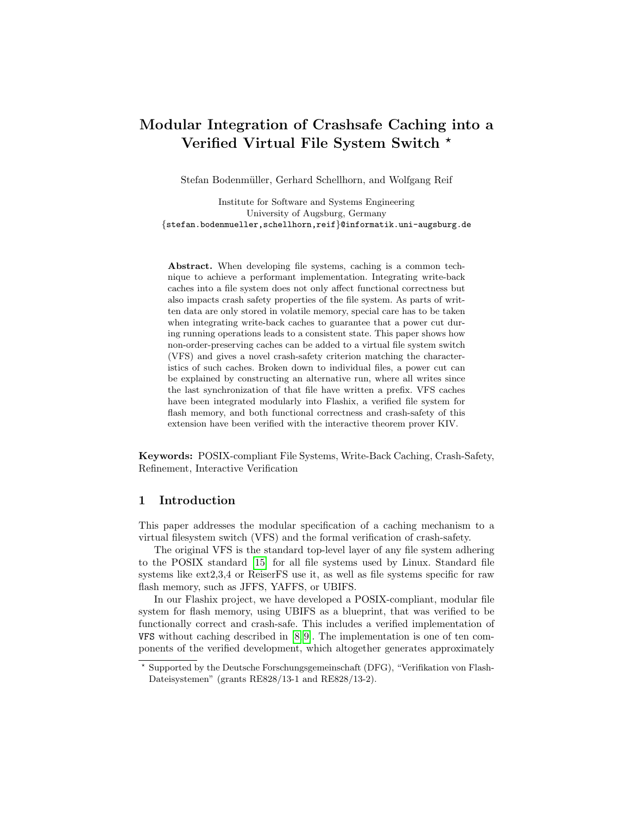# Modular Integration of Crashsafe Caching into a Verified Virtual File System Switch \*

Stefan Bodenmüller, Gerhard Schellhorn, and Wolfgang Reif

Institute for Software and Systems Engineering University of Augsburg, Germany {stefan.bodenmueller,schellhorn,reif}@informatik.uni-augsburg.de

Abstract. When developing file systems, caching is a common technique to achieve a performant implementation. Integrating write-back caches into a file system does not only affect functional correctness but also impacts crash safety properties of the file system. As parts of written data are only stored in volatile memory, special care has to be taken when integrating write-back caches to guarantee that a power cut during running operations leads to a consistent state. This paper shows how non-order-preserving caches can be added to a virtual file system switch (VFS) and gives a novel crash-safety criterion matching the characteristics of such caches. Broken down to individual files, a power cut can be explained by constructing an alternative run, where all writes since the last synchronization of that file have written a prefix. VFS caches have been integrated modularly into Flashix, a verified file system for flash memory, and both functional correctness and crash-safety of this extension have been verified with the interactive theorem prover KIV.

Keywords: POSIX-compliant File Systems, Write-Back Caching, Crash-Safety, Refinement, Interactive Verification

#### 1 Introduction

This paper addresses the modular specification of a caching mechanism to a virtual filesystem switch (VFS) and the formal verification of crash-safety.

The original VFS is the standard top-level layer of any file system adhering to the POSIX standard [\[15\]](#page-17-0) for all file systems used by Linux. Standard file systems like ext2,3,4 or ReiserFS use it, as well as file systems specific for raw flash memory, such as JFFS, YAFFS, or UBIFS.

In our Flashix project, we have developed a POSIX-compliant, modular file system for flash memory, using UBIFS as a blueprint, that was verified to be functionally correct and crash-safe. This includes a verified implementation of VFS without caching described in [\[8,](#page-17-1) [9\]](#page-17-2). The implementation is one of ten components of the verified development, which altogether generates approximately

<sup>?</sup> Supported by the Deutsche Forschungsgemeinschaft (DFG), "Verifikation von Flash-Dateisystemen" (grants RE828/13-1 and RE828/13-2).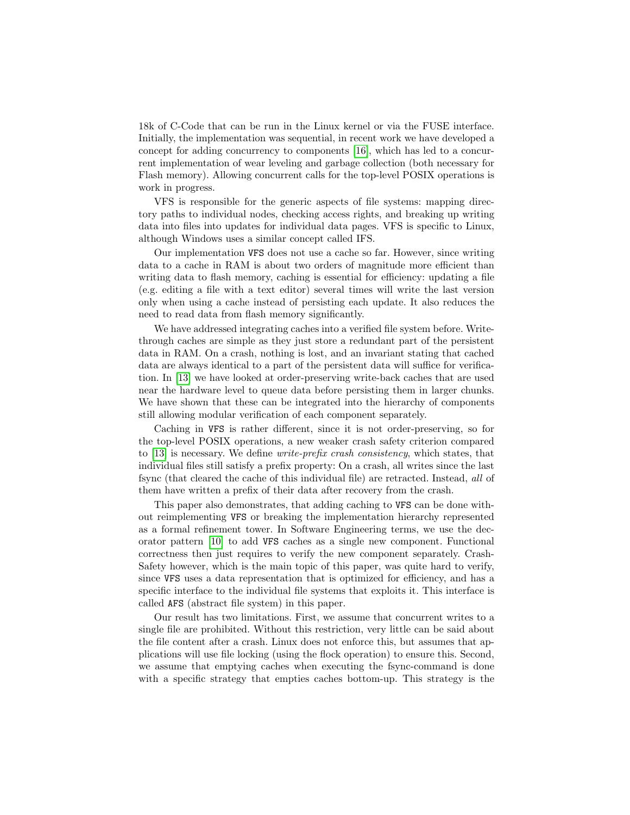18k of C-Code that can be run in the Linux kernel or via the FUSE interface. Initially, the implementation was sequential, in recent work we have developed a concept for adding concurrency to components [\[16\]](#page-17-3), which has led to a concurrent implementation of wear leveling and garbage collection (both necessary for Flash memory). Allowing concurrent calls for the top-level POSIX operations is work in progress.

VFS is responsible for the generic aspects of file systems: mapping directory paths to individual nodes, checking access rights, and breaking up writing data into files into updates for individual data pages. VFS is specific to Linux, although Windows uses a similar concept called IFS.

Our implementation VFS does not use a cache so far. However, since writing data to a cache in RAM is about two orders of magnitude more efficient than writing data to flash memory, caching is essential for efficiency: updating a file (e.g. editing a file with a text editor) several times will write the last version only when using a cache instead of persisting each update. It also reduces the need to read data from flash memory significantly.

We have addressed integrating caches into a verified file system before. Writethrough caches are simple as they just store a redundant part of the persistent data in RAM. On a crash, nothing is lost, and an invariant stating that cached data are always identical to a part of the persistent data will suffice for verification. In [\[13\]](#page-17-4) we have looked at order-preserving write-back caches that are used near the hardware level to queue data before persisting them in larger chunks. We have shown that these can be integrated into the hierarchy of components still allowing modular verification of each component separately.

Caching in VFS is rather different, since it is not order-preserving, so for the top-level POSIX operations, a new weaker crash safety criterion compared to  $[13]$  is necessary. We define *write-prefix crash consistency*, which states, that individual files still satisfy a prefix property: On a crash, all writes since the last fsync (that cleared the cache of this individual file) are retracted. Instead, all of them have written a prefix of their data after recovery from the crash.

This paper also demonstrates, that adding caching to VFS can be done without reimplementing VFS or breaking the implementation hierarchy represented as a formal refinement tower. In Software Engineering terms, we use the decorator pattern [\[10\]](#page-17-5) to add VFS caches as a single new component. Functional correctness then just requires to verify the new component separately. Crash-Safety however, which is the main topic of this paper, was quite hard to verify, since VFS uses a data representation that is optimized for efficiency, and has a specific interface to the individual file systems that exploits it. This interface is called AFS (abstract file system) in this paper.

Our result has two limitations. First, we assume that concurrent writes to a single file are prohibited. Without this restriction, very little can be said about the file content after a crash. Linux does not enforce this, but assumes that applications will use file locking (using the flock operation) to ensure this. Second, we assume that emptying caches when executing the fsync-command is done with a specific strategy that empties caches bottom-up. This strategy is the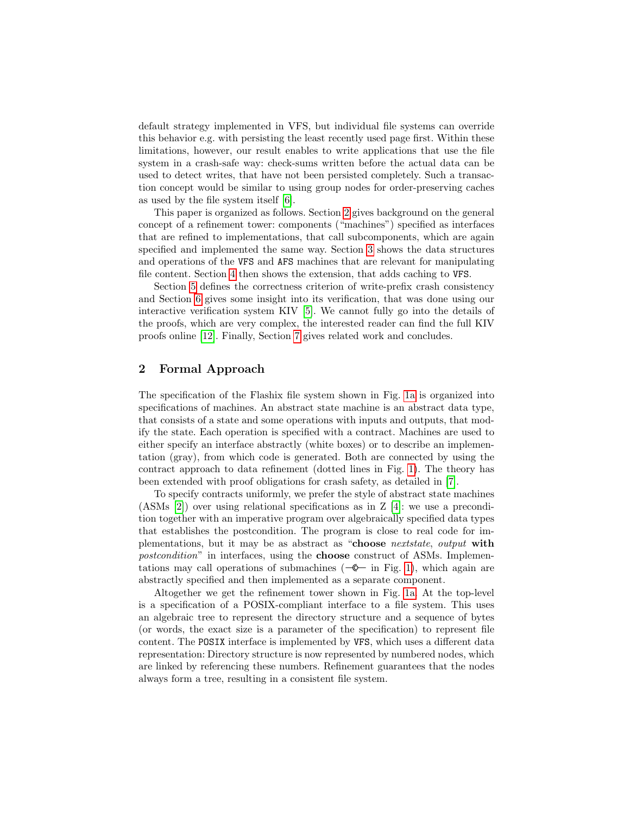default strategy implemented in VFS, but individual file systems can override this behavior e.g. with persisting the least recently used page first. Within these limitations, however, our result enables to write applications that use the file system in a crash-safe way: check-sums written before the actual data can be used to detect writes, that have not been persisted completely. Such a transaction concept would be similar to using group nodes for order-preserving caches as used by the file system itself [\[6\]](#page-17-6).

This paper is organized as follows. Section [2](#page-2-0) gives background on the general concept of a refinement tower: components ("machines") specified as interfaces that are refined to implementations, that call subcomponents, which are again specified and implemented the same way. Section [3](#page-3-0) shows the data structures and operations of the VFS and AFS machines that are relevant for manipulating file content. Section [4](#page-7-0) then shows the extension, that adds caching to VFS.

Section [5](#page-10-0) defines the correctness criterion of write-prefix crash consistency and Section [6](#page-13-0) gives some insight into its verification, that was done using our interactive verification system KIV [\[5\]](#page-17-7). We cannot fully go into the details of the proofs, which are very complex, the interested reader can find the full KIV proofs online [\[12\]](#page-17-8). Finally, Section [7](#page-15-0) gives related work and concludes.

### <span id="page-2-0"></span>2 Formal Approach

The specification of the Flashix file system shown in Fig. [1a](#page-3-1) is organized into specifications of machines. An abstract state machine is an abstract data type, that consists of a state and some operations with inputs and outputs, that modify the state. Each operation is specified with a contract. Machines are used to either specify an interface abstractly (white boxes) or to describe an implementation (gray), from which code is generated. Both are connected by using the contract approach to data refinement (dotted lines in Fig. [1\)](#page-3-1). The theory has been extended with proof obligations for crash safety, as detailed in [\[7\]](#page-17-9).

To specify contracts uniformly, we prefer the style of abstract state machines (ASMs [\[2\]](#page-17-10)) over using relational specifications as in Z [\[4\]](#page-17-11): we use a precondition together with an imperative program over algebraically specified data types that establishes the postcondition. The program is close to real code for implementations, but it may be as abstract as "choose nextstate, output with postcondition" in interfaces, using the choose construct of ASMs. Implementations may call operations of submachines  $(-6$  in Fig. [1\)](#page-3-1), which again are abstractly specified and then implemented as a separate component.

Altogether we get the refinement tower shown in Fig. [1a.](#page-3-1) At the top-level is a specification of a POSIX-compliant interface to a file system. This uses an algebraic tree to represent the directory structure and a sequence of bytes (or words, the exact size is a parameter of the specification) to represent file content. The POSIX interface is implemented by VFS, which uses a different data representation: Directory structure is now represented by numbered nodes, which are linked by referencing these numbers. Refinement guarantees that the nodes always form a tree, resulting in a consistent file system.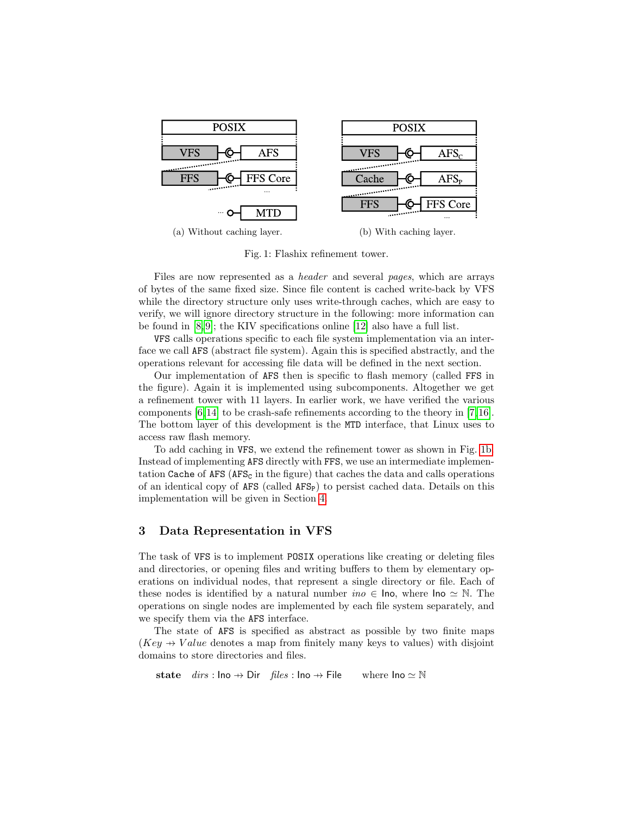<span id="page-3-1"></span>

(a) Without caching layer. (b) With caching layer.

Fig. 1: Flashix refinement tower.

Files are now represented as a header and several pages, which are arrays of bytes of the same fixed size. Since file content is cached write-back by VFS while the directory structure only uses write-through caches, which are easy to verify, we will ignore directory structure in the following: more information can be found in  $[8, 9]$  $[8, 9]$ ; the KIV specifications online  $[12]$  also have a full list.

VFS calls operations specific to each file system implementation via an interface we call AFS (abstract file system). Again this is specified abstractly, and the operations relevant for accessing file data will be defined in the next section.

Our implementation of AFS then is specific to flash memory (called FFS in the figure). Again it is implemented using subcomponents. Altogether we get a refinement tower with 11 layers. In earlier work, we have verified the various components [\[6,](#page-17-6)[14\]](#page-17-12) to be crash-safe refinements according to the theory in [\[7,](#page-17-9)[16\]](#page-17-3). The bottom layer of this development is the MTD interface, that Linux uses to access raw flash memory.

To add caching in VFS, we extend the refinement tower as shown in Fig. [1b.](#page-3-1) Instead of implementing AFS directly with FFS, we use an intermediate implementation Cache of  $\text{AFS}$  ( $\text{AFS}_c$  in the figure) that caches the data and calls operations of an identical copy of  $AFS$  (called  $AFS<sub>P</sub>$ ) to persist cached data. Details on this implementation will be given in Section [4.](#page-7-0)

### <span id="page-3-0"></span>3 Data Representation in VFS

The task of VFS is to implement POSIX operations like creating or deleting files and directories, or opening files and writing buffers to them by elementary operations on individual nodes, that represent a single directory or file. Each of these nodes is identified by a natural number *ino*  $\in$  lno, where lno  $\simeq$  N. The operations on single nodes are implemented by each file system separately, and we specify them via the AFS interface.

The state of AFS is specified as abstract as possible by two finite maps  $(Key \rightarrow Value$  denotes a map from finitely many keys to values) with disjoint domains to store directories and files.

state  $\text{dirs} : \text{Ino} \rightarrow \text{Dir}$  files : Ino  $\rightarrow$  File where Ino  $\simeq \mathbb{N}$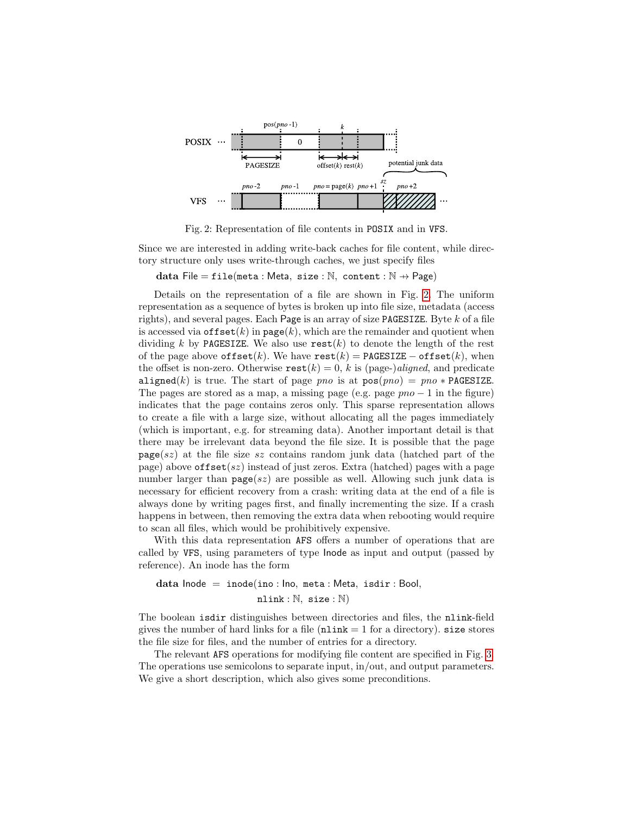<span id="page-4-0"></span>

Fig. 2: Representation of file contents in POSIX and in VFS.

Since we are interested in adding write-back caches for file content, while directory structure only uses write-through caches, we just specify files

data File = file(meta: Meta, size: N, content:  $N \rightarrow$  Page)

Details on the representation of a file are shown in Fig. [2.](#page-4-0) The uniform representation as a sequence of bytes is broken up into file size, metadata (access rights), and several pages. Each Page is an array of size PAGESIZE. Byte k of a file is accessed via  $offset(k)$  in page(k), which are the remainder and quotient when dividing k by **PAGESIZE**. We also use  $\text{rest}(k)$  to denote the length of the rest of the page above offset(k). We have  $\text{rest}(k) = \text{PAGESTZE} - \text{offset}(k)$ , when the offset is non-zero. Otherwise  $\text{rest}(k) = 0$ , k is (page-)aligned, and predicate aligned(k) is true. The start of page pno is at  $pos(pno) = pno * PAGESIZE$ . The pages are stored as a map, a missing page (e.g. page  $pno-1$  in the figure) indicates that the page contains zeros only. This sparse representation allows to create a file with a large size, without allocating all the pages immediately (which is important, e.g. for streaming data). Another important detail is that there may be irrelevant data beyond the file size. It is possible that the page  $page(sz)$  at the file size sz contains random junk data (hatched part of the page) above of fset $(sz)$  instead of just zeros. Extra (hatched) pages with a page number larger than  $page(sz)$  are possible as well. Allowing such junk data is necessary for efficient recovery from a crash: writing data at the end of a file is always done by writing pages first, and finally incrementing the size. If a crash happens in between, then removing the extra data when rebooting would require to scan all files, which would be prohibitively expensive.

With this data representation AFS offers a number of operations that are called by VFS, using parameters of type Inode as input and output (passed by reference). An inode has the form

## data  $\text{node} = \text{inode}(\text{ino} : \text{Ino}, \text{meta} : \text{Meta}, \text{isdir} : \text{Bool},$  $nlink : N, size : N)$

The boolean isdir distinguishes between directories and files, the nlink-field gives the number of hard links for a file  $(nlink = 1$  for a directory). size stores the file size for files, and the number of entries for a directory.

The relevant AFS operations for modifying file content are specified in Fig. [3.](#page-5-0) The operations use semicolons to separate input, in/out, and output parameters. We give a short description, which also gives some preconditions.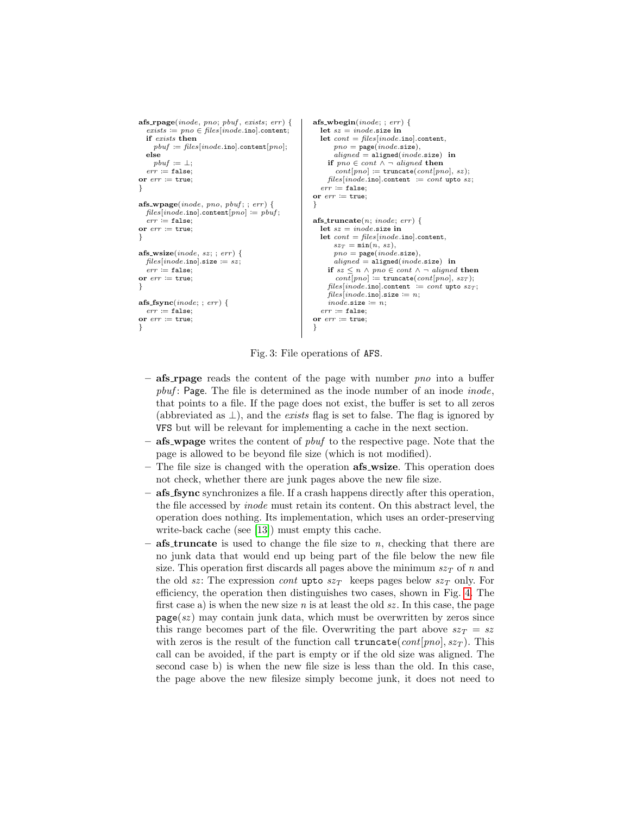```
afs_range(inode, pno; pbuf, exists; err) {
   exists = pno \in files[inode.ino].content;if exists then
    pbuf := files[inode.\texttt{ino}].\texttt{content}[pno];else
    pbuf := \bot;err := false;or err \coloneqq \text{true};
}
\mathbf{afs\_wpage}(inode, \; pno, \; pbuf; \; ; \; err) {
  files[inode, inol.comtent[nno] := nhuf;err = false:
or err \coloneqq \text{true};
}
afs_wsize(inode, sz: ; err) {
  files|inode.\texttt{ino}|.\texttt{size} := sz;err := false:
or err \coloneqq \text{true}:
}
\mathbf{afs\_fsync}(inode;; err) {
  err \coloneqq false:
or err \coloneqq \text{true}:
}
                                                             afs_wbegin(inode; ; err) {
                                                                let sz = \text{inode.size in}let cont = files|inode.\text{ino}|.\text{content},pno = page(inode.size),aligned = \text{aligned}(inode.size) in
                                                                   if pno \in cont \land \neg\ aligned\ thencont[pno] := truncate(cont[pno], sz);
                                                                   files[inode.inol.context := cont up to ss;err \coloneqq false;
                                                              or err \coloneqq \text{true};
                                                              }
                                                              afs_truncate(n; inode; err) {
                                                                let sz = \text{inode.size} in
                                                                let cont = files[inode, \text{inol}].\text{content},
                                                                     sz_T = \min(n, sz),
                                                                     \textit{pno} = \texttt{page}(inode.\texttt{size}) ,aligned = \text{aligned}(inode.size) in
                                                                   if sz \leq n \land pno \in cont \land \neg \ aligned then
                                                                     \overline{cont}[pno] := truncate(cont[pno], sz_T);
                                                                   files[node.inol.context] = cont upto sx_T;
                                                                   files[inode.ino].size := n;inode.size := n:
                                                                err := false:
                                                              or err \coloneqq \text{true}:
                                                              }
```
Fig. 3: File operations of AFS.

- $-$  afs rpage reads the content of the page with number pno into a buffer  $pbuf$ : Page. The file is determined as the inode number of an inode *inode*, that points to a file. If the page does not exist, the buffer is set to all zeros (abbreviated as  $\perp$ ), and the *exists* flag is set to false. The flag is ignored by VFS but will be relevant for implementing a cache in the next section.
- $-$  afs\_wpage writes the content of *pbuf* to the respective page. Note that the page is allowed to be beyond file size (which is not modified).
- The file size is changed with the operation **afs\_wsize**. This operation does not check, whether there are junk pages above the new file size.
- afs fsync synchronizes a file. If a crash happens directly after this operation, the file accessed by inode must retain its content. On this abstract level, the operation does nothing. Its implementation, which uses an order-preserving write-back cache (see [\[13\]](#page-17-4)) must empty this cache.
- **afs\_truncate** is used to change the file size to  $n$ , checking that there are no junk data that would end up being part of the file below the new file size. This operation first discards all pages above the minimum  $sz_T$  of n and the old sz: The expression cont upto  $sz_T$  keeps pages below  $sz_T$  only. For efficiency, the operation then distinguishes two cases, shown in Fig. [4.](#page-6-0) The first case a) is when the new size  $n$  is at least the old  $sz$ . In this case, the page  $page(sz)$  may contain junk data, which must be overwritten by zeros since this range becomes part of the file. Overwriting the part above  $sz_T = sz$ with zeros is the result of the function call  $triangle(cont[pno], sz_T)$ . This call can be avoided, if the part is empty or if the old size was aligned. The second case b) is when the new file size is less than the old. In this case, the page above the new filesize simply become junk, it does not need to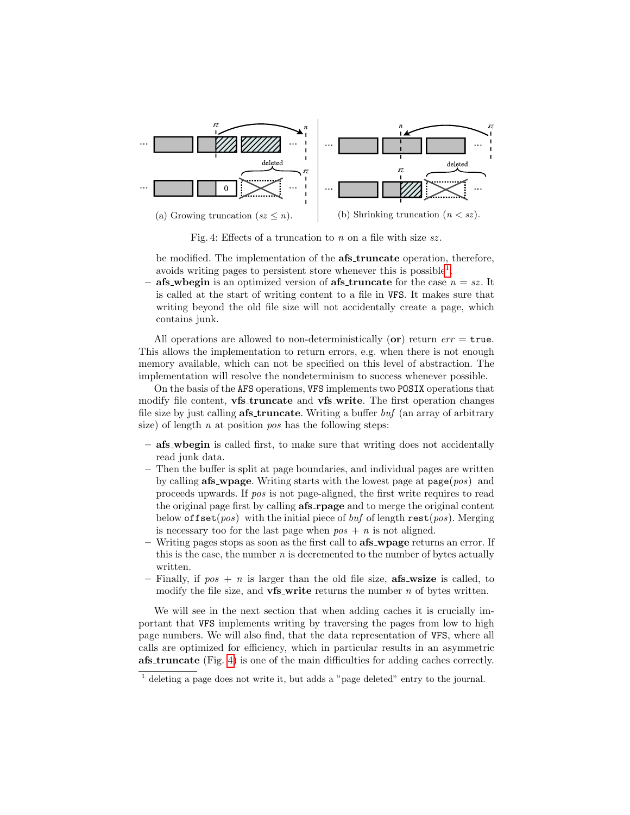<span id="page-6-0"></span>

Fig. 4: Effects of a truncation to  $n$  on a file with size  $sz$ .

be modified. The implementation of the **afs\_truncate** operation, therefore, avoids writing pages to persistent store whenever this is possible<sup>[1](#page-6-1)</sup>.

**afs\_wbegin** is an optimized version of **afs\_truncate** for the case  $n = sz$ . It is called at the start of writing content to a file in VFS. It makes sure that writing beyond the old file size will not accidentally create a page, which contains junk.

All operations are allowed to non-deterministically (or) return  $err = \text{true}$ . This allows the implementation to return errors, e.g. when there is not enough memory available, which can not be specified on this level of abstraction. The implementation will resolve the nondeterminism to success whenever possible.

On the basis of the AFS operations, VFS implements two POSIX operations that modify file content, vfs\_truncate and vfs\_write. The first operation changes file size by just calling  $\sigma$  afs\_truncate. Writing a buffer *buf* (an array of arbitrary size) of length  $n$  at position  $pos$  has the following steps:

- afs wbegin is called first, to make sure that writing does not accidentally read junk data.
- Then the buffer is split at page boundaries, and individual pages are written by calling **afs\_wpage**. Writing starts with the lowest page at  $\text{page}(pos)$  and proceeds upwards. If pos is not page-aligned, the first write requires to read the original page first by calling afs rpage and to merge the original content below of fset(*pos*) with the initial piece of *buf* of length rest(*pos*). Merging is necessary too for the last page when  $pos + n$  is not aligned.
- Writing pages stops as soon as the first call to **afs\_wpage** returns an error. If this is the case, the number  $n$  is decremented to the number of bytes actually written.
- Finally, if  $pos + n$  is larger than the old file size, **afs** worsize is called, to modify the file size, and  $\mathbf{vfs}\text{-}\mathbf{write}$  returns the number n of bytes written.

We will see in the next section that when adding caches it is crucially important that VFS implements writing by traversing the pages from low to high page numbers. We will also find, that the data representation of VFS, where all calls are optimized for efficiency, which in particular results in an asymmetric afs truncate (Fig. [4\)](#page-6-0) is one of the main difficulties for adding caches correctly.

<span id="page-6-1"></span> $^{\rm 1}$  deleting a page does not write it, but adds a "page deleted" entry to the journal.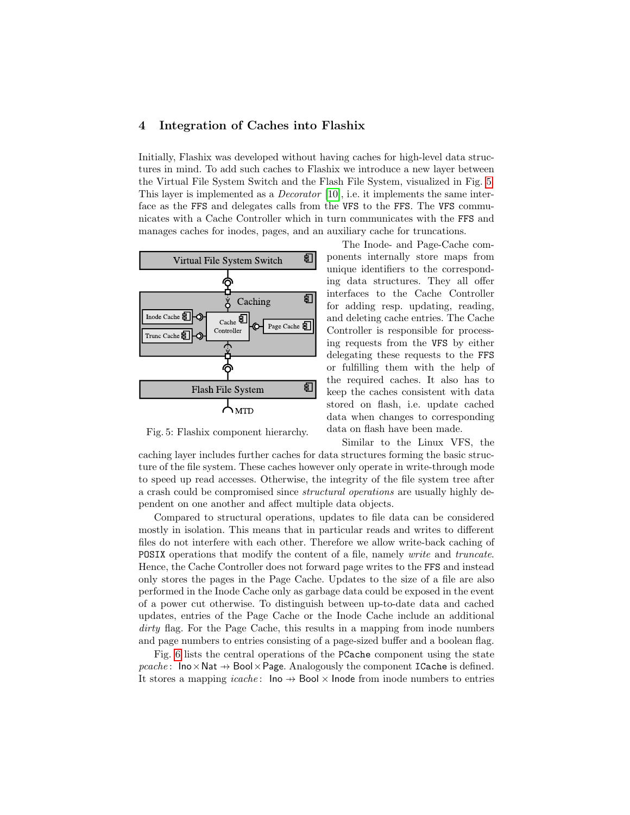#### <span id="page-7-0"></span>4 Integration of Caches into Flashix

Initially, Flashix was developed without having caches for high-level data structures in mind. To add such caches to Flashix we introduce a new layer between the Virtual File System Switch and the Flash File System, visualized in Fig. [5.](#page-7-1) This layer is implemented as a Decorator [\[10\]](#page-17-5), i.e. it implements the same interface as the FFS and delegates calls from the VFS to the FFS. The VFS communicates with a Cache Controller which in turn communicates with the FFS and manages caches for inodes, pages, and an auxiliary cache for truncations.

<span id="page-7-1"></span>

Fig. 5: Flashix component hierarchy.

The Inode- and Page-Cache components internally store maps from unique identifiers to the corresponding data structures. They all offer interfaces to the Cache Controller for adding resp. updating, reading, and deleting cache entries. The Cache Controller is responsible for processing requests from the VFS by either delegating these requests to the FFS or fulfilling them with the help of the required caches. It also has to keep the caches consistent with data stored on flash, i.e. update cached data when changes to corresponding data on flash have been made.

Similar to the Linux VFS, the

caching layer includes further caches for data structures forming the basic structure of the file system. These caches however only operate in write-through mode to speed up read accesses. Otherwise, the integrity of the file system tree after a crash could be compromised since structural operations are usually highly dependent on one another and affect multiple data objects.

Compared to structural operations, updates to file data can be considered mostly in isolation. This means that in particular reads and writes to different files do not interfere with each other. Therefore we allow write-back caching of POSIX operations that modify the content of a file, namely write and truncate. Hence, the Cache Controller does not forward page writes to the FFS and instead only stores the pages in the Page Cache. Updates to the size of a file are also performed in the Inode Cache only as garbage data could be exposed in the event of a power cut otherwise. To distinguish between up-to-date data and cached updates, entries of the Page Cache or the Inode Cache include an additional dirty flag. For the Page Cache, this results in a mapping from inode numbers and page numbers to entries consisting of a page-sized buffer and a boolean flag.

Fig. [6](#page-8-0) lists the central operations of the PCache component using the state  $\textit{pcache}: \text{Ino} \times \text{Nat} \rightarrow \text{Bool} \times \text{Page}.$  Analogously the component ICache is defined. It stores a mapping *icache* :  $\textsf{Ino} \rightarrow \textsf{Bool} \times \textsf{Inode}$  from inode numbers to entries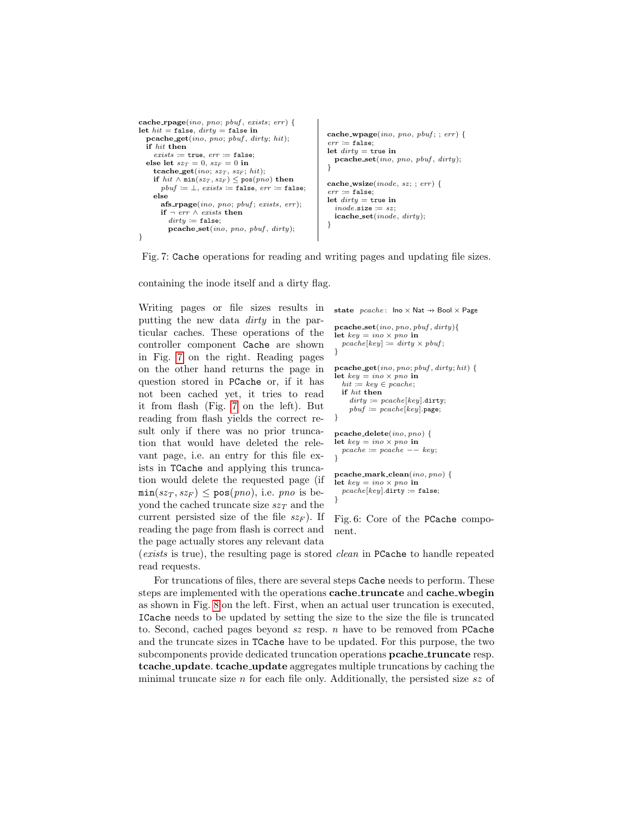```
\textbf{cache\_rpage}(ino, \textit{pno}; \textit{pbuf}, \textit{exists}; \textit{err})let hit = false, dirty = false in
  \textbf{pcache\_get}(ino, \textit{pno}; \textit{pbuf}, \textit{dirty}; \textit{hit});if hit then
     exists := true, err := false;else let sz_T = 0, sz_F = 0 in
     tcache_get(ino; sz_T, sz_F; hit);
     if hit \wedge min(sz_T, sz_F) \leq pos(pno) then
       pbuf := \bot, exists := false, err := false;else
       afs_range(ino, pno; pbuf; exists, err);if \neg err \wedge exists then
          dirtu := false:
          \textbf{pcache}.\textbf{set}(ino, \textit{pno}, \textit{pbuf}, \textit{dirty});}
                                                                     cache_wpage(ino, pno, pbuf; ; err) {
                                                                     err \coloneqq false;let \text{d}irty = \text{true in}\textbf{pcache}\text{-}\textbf{set}(ino,\;pno,\;pbuf,\;dirty);}
                                                                     cache_wsize(inode, sz; err) {
                                                                      err := false;let \text{dirty} = \text{true} in
                                                                        inode.size := sz;icache set(inode, dirty);
                                                                      }
```
Fig. 7: Cache operations for reading and writing pages and updating file sizes.

containing the inode itself and a dirty flag.

Writing pages or file sizes results in putting the new data dirty in the particular caches. These operations of the controller component Cache are shown in Fig. [7](#page-8-1) on the right. Reading pages on the other hand returns the page in question stored in PCache or, if it has not been cached yet, it tries to read it from flash (Fig. [7](#page-8-1) on the left). But reading from flash yields the correct result only if there was no prior truncation that would have deleted the relevant page, i.e. an entry for this file exists in TCache and applying this truncation would delete the requested page (if  $min(sz_T, sz_F) \leq pos(pno)$ , i.e. pno is beyond the cached truncate size  $sz<sub>T</sub>$  and the current persisted size of the file  $sz_F$ ). If reading the page from flash is correct and the page actually stores any relevant data

```
state \textit{pcache}: \text{Ino} \times \text{Nat} \rightarrow \text{Bool} \times \text{Page}\textbf{pcache\_set}(ino, pno, pbuf, dirty)\{let key = ino \times pno in
  pcache(key] := dirty \times pbuf;}
pcache get(ino, pno; pbuf , dirty; hit) {
let key = ino \times pno in
   hit := key \in package;if hit then
     \text{dirty} := \text{package}[\text{key}].dirty;
     pbuf := pcache[key].page;
}
pcache delete(ino, pno) {
let key = ino \times pno in
  pcache := pcache -- key;}
pcache mark clean(ino, pno) {
let key = ino \times pno in
  \mathit{pcache}[\mathit{key}].dirty := false;
}
```
Fig. 6: Core of the PCache component.

(exists is true), the resulting page is stored clean in PCache to handle repeated read requests.

For truncations of files, there are several steps Cache needs to perform. These steps are implemented with the operations cache\_truncate and cache\_wbegin as shown in Fig. [8](#page-9-0) on the left. First, when an actual user truncation is executed, ICache needs to be updated by setting the size to the size the file is truncated to. Second, cached pages beyond sz resp. n have to be removed from **PCache** and the truncate sizes in TCache have to be updated. For this purpose, the two subcomponents provide dedicated truncation operations pcache truncate resp. tcache update. tcache update aggregates multiple truncations by caching the minimal truncate size  $n$  for each file only. Additionally, the persisted size  $sz$  of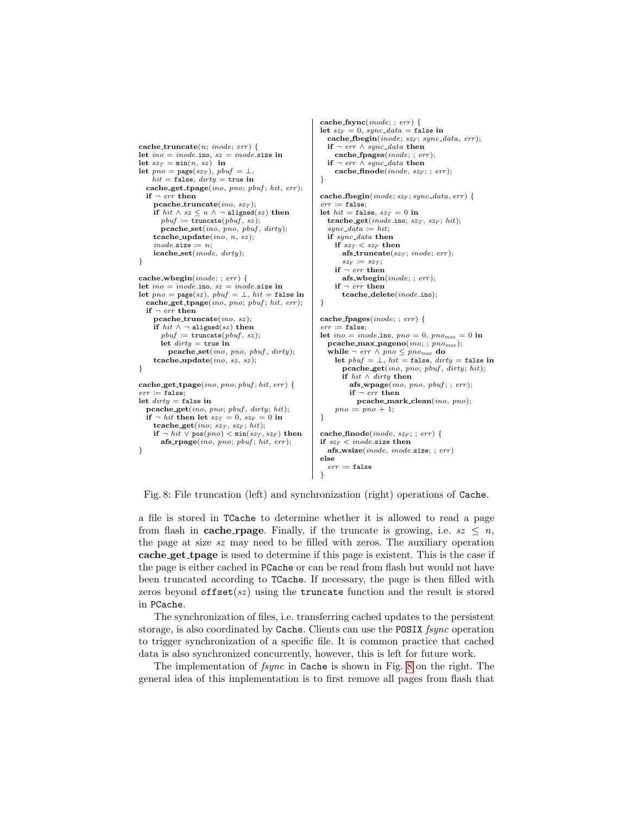```
cache_truncate(n; \text{inode}; \text{err}) {
let ino = inode.ino, sz = inode.size in
let sz_T = \min(n, sz) in
let pno = page(sz_T), pbuf = \bot,
    hit = false, dirty = true in
  \textbf{cache\_get\_tpage}(ino, \textit{pno}; \textit{pbuf}; \textit{hit}, \textit{err});if \neg err then
     \textbf{pcache\_truncated}(ino, sz_T);if hit \wedge sz \leq n \wedge \neg aligned(sz) then
       pbuf := \text{truncated}(pbuf, sz);\textbf{pcache}.\textbf{set}(ino, \textit{pno}, \textit{pbuf}, \textit{dirty});\textbf{tcache\_update}(ino, n, sz);inode.size := nicache_set(inode, dirty);}
cache_wbegin(inode; ; err) {
let ino = inode.ino, sz = inode.size in
let \textit{pno} = \texttt{page}(\textit{sz}), \textit{pbuf} = \bot, \textit{hit} = \texttt{false} in
  \textbf{cache\_get\_tpage}(ino, \textit{pno}; \textit{pbuf}; \textit{hit}, \textit{err});if \neg err then
     pcache_truncate(ino, sz):
     if hit \wedge \neg aligned(sz) then
        pbuf :=truncate(\mathit{pbuf},\mathit{sz});let dirtu = \text{true} in
          \textbf{pcache}.\textbf{set}(ino, \textit{pno}, \textit{pbuf}, \textit{dirty});\textbf{tcache\_update}(ino, \, sz, \, sz);}
\textbf{cache\_get\_tpage}(ino, pno; pbuf; hit, err) {
err := false:
let \text{dirty} = \texttt{false} in
  \textbf{pcache\_get}(ino, \textit{pno}; \textit{pbuf}, \textit{dirty}; \textit{hit});if \neg hit then let sz_T = 0, sz_F = 0 in
     tcache_get(ino; sz_T, sz_F; hit);
     if \neg hit ∨ pos(pno) < min(sz<sub>T</sub>, sz<sub>F</sub>) then
       afs\_rpage(ino, pno; pbuf; hit, err);}
                                                                   cache_fbegin(inode; sz_F; sync_data, err);
                                                                   if ¬ err ∧ sync_data then
                                                                      cache fpages(inode; ; err);
                                                                   if \neg err \land sync_data then
                                                                      \textbf{cache\_finode}(inode, \, sz_F; \,; \, err);}
                                                                 cache fbegin(inode; sz_F; sync_data, err) {
                                                                 err := false;
                                                                 let hit = false, sz_T = 0 in
                                                                   tcache_get(inode.ino; sz_T, sz_F; hit);
                                                                    sync\_data := hit;if sync_data then
                                                                      if sz_T < sz_F then
                                                                        afs_truncate(sz_T; inode; err);
                                                                         sz_F := sz_T ;
                                                                      if \neg err then
                                                                        afs_wbegin(inode;; err);if \neg\ err then
                                                                         tcache delete(inode.ino);
                                                                 }
                                                                 cache fpages(inode; ; err) {
                                                                 err = falselet ino = inode.ino, pno = 0, pno_{max} = 0 in
                                                                   \textbf{pcache\_max\_pageno}(ino; ; \textit{pno}_{max});while \neg \text{ err} \land \text{ pro} \leq \text{ pro}_{\text{max}} do
                                                                      let pbuf = \bot, hit = false, dirty = false in
                                                                         \textbf{pcache\_get}(ino, \textit{pno}; \textit{pbuf}, \textit{dirty}; \textit{hit});if hit ∧ dirty then
                                                                           afs_wpage(ino, pno, pbuf; ; err);if \neg err then
                                                                             \textbf{pcache\_mark\_clean}(ino,\textit{pno});pno := pno + 1;}
                                                                 cache_finode(inode, sz_F; ; err) {
                                                                 if sz_F < inode.size then
                                                                   afs wsize(inode, inode.size; ; err)
                                                                 else
                                                                   err := false}
```
cache fsync(inode; ; err) { let  $sz_F = 0$ , sync\_data = false in

Fig. 8: File truncation (left) and synchronization (right) operations of Cache.

a file is stored in TCache to determine whether it is allowed to read a page from flash in **cache\_rpage**. Finally, if the truncate is growing, i.e.  $sz \leq n$ , the page at size sz may need to be filled with zeros. The auxiliary operation cache get tpage is used to determine if this page is existent. This is the case if the page is either cached in PCache or can be read from flash but would not have been truncated according to TCache. If necessary, the page is then filled with zeros beyond  $offset(sz)$  using the truncate function and the result is stored in PCache.

The synchronization of files, i.e. transferring cached updates to the persistent storage, is also coordinated by Cache. Clients can use the POSIX *fsync* operation to trigger synchronization of a specific file. It is common practice that cached data is also synchronized concurrently, however, this is left for future work.

The implementation of fsync in Cache is shown in Fig. [8](#page-9-0) on the right. The general idea of this implementation is to first remove all pages from flash that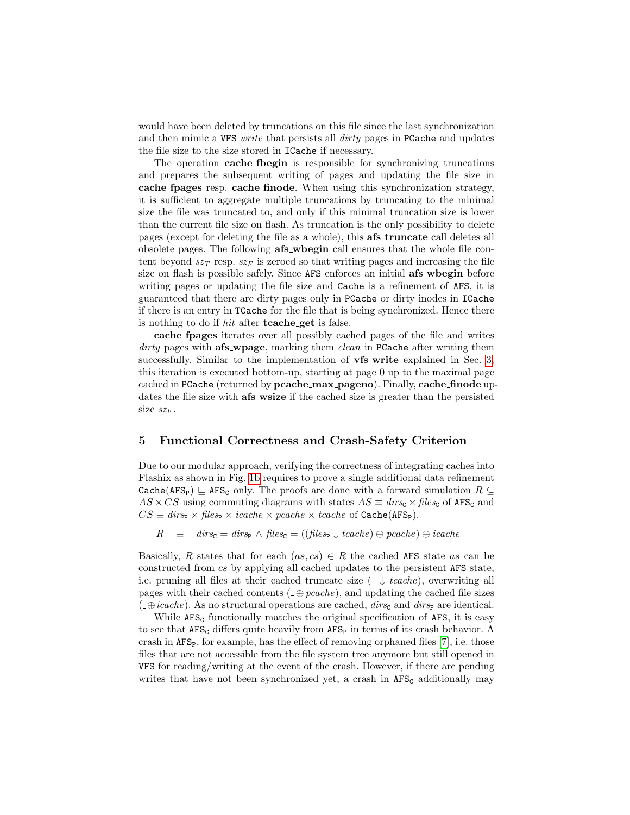would have been deleted by truncations on this file since the last synchronization and then mimic a VFS *write* that persists all *dirty* pages in PCache and updates the file size to the size stored in ICache if necessary.

The operation **cache fbegin** is responsible for synchronizing truncations and prepares the subsequent writing of pages and updating the file size in cache fpages resp. cache finode. When using this synchronization strategy, it is sufficient to aggregate multiple truncations by truncating to the minimal size the file was truncated to, and only if this minimal truncation size is lower than the current file size on flash. As truncation is the only possibility to delete pages (except for deleting the file as a whole), this afs truncate call deletes all obsolete pages. The following afs wbegin call ensures that the whole file content beyond  $sz_T$  resp.  $sz_F$  is zeroed so that writing pages and increasing the file size on flash is possible safely. Since AFS enforces an initial **afs\_wbegin** before writing pages or updating the file size and Cache is a refinement of AFS, it is guaranteed that there are dirty pages only in PCache or dirty inodes in ICache if there is an entry in TCache for the file that is being synchronized. Hence there is nothing to do if hit after **tcache** get is false.

cache fpages iterates over all possibly cached pages of the file and writes dirty pages with **afs\_wpage**, marking them *clean* in PCache after writing them successfully. Similar to the implementation of **vfs\_write** explained in Sec. [3,](#page-3-0) this iteration is executed bottom-up, starting at page 0 up to the maximal page cached in PCache (returned by pcache max pageno). Finally, cache finode updates the file size with **afs\_wsize** if the cached size is greater than the persisted size  $sz_F$ .

#### <span id="page-10-0"></span>5 Functional Correctness and Crash-Safety Criterion

Due to our modular approach, verifying the correctness of integrating caches into Flashix as shown in Fig. [1b](#page-3-1) requires to prove a single additional data refinement Cache(AFS<sub>P</sub>)  $\subseteq$  AFS<sub>C</sub> only. The proofs are done with a forward simulation R  $\subseteq$  $AS \times CS$  using commuting diagrams with states  $AS \equiv dirs_{\rm C} \times files_{\rm C}$  of AFS<sub>C</sub> and  $CS \equiv dir_{\rm Sp} \times files_{\rm P} \times cache \times peace \times teacher$  of Cache(AFS<sub>P</sub>).

 $R \equiv \text{dirs}_c = \text{dirs}_P \wedge \text{files}_c = ((\text{files}_P \downarrow \text{tcache}) \oplus \text{pcache}) \oplus \text{icache})$ 

Basically, R states that for each  $(as, cs) \in R$  the cached AFS state as can be constructed from cs by applying all cached updates to the persistent AFS state, i.e. pruning all files at their cached truncate size ( $\downarrow$  tcache), overwriting all pages with their cached contents ( $\perp \oplus pcache$ ), and updating the cached file sizes  $(-\oplus \text{icache})$ . As no structural operations are cached, dirsc and dirsp are identical.

While  $\text{AFS}_{\text{C}}$  functionally matches the original specification of  $\text{AFS}$ , it is easy to see that  $\text{AFS}_{\text{C}}$  differs quite heavily from  $\text{AFS}_{\text{P}}$  in terms of its crash behavior. A crash in  $\text{AFS}_P$ , for example, has the effect of removing orphaned files [\[7\]](#page-17-9), i.e. those files that are not accessible from the file system tree anymore but still opened in VFS for reading/writing at the event of the crash. However, if there are pending writes that have not been synchronized yet, a crash in  $\text{AFS}_{\text{C}}$  additionally may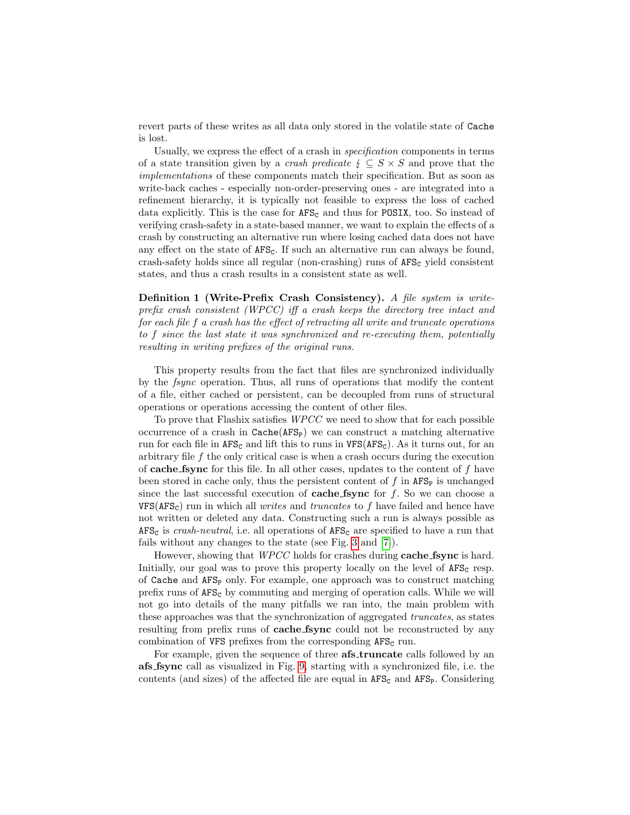revert parts of these writes as all data only stored in the volatile state of Cache is lost.

Usually, we express the effect of a crash in specification components in terms of a state transition given by a *crash predicate*  $\{ \subseteq S \times S \text{ and prove that the} \}$ implementations of these components match their specification. But as soon as write-back caches - especially non-order-preserving ones - are integrated into a refinement hierarchy, it is typically not feasible to express the loss of cached data explicitly. This is the case for  $\text{AFS}_{\text{C}}$  and thus for POSIX, too. So instead of verifying crash-safety in a state-based manner, we want to explain the effects of a crash by constructing an alternative run where losing cached data does not have any effect on the state of  $\text{AFS}_{\text{C}}$ . If such an alternative run can always be found, crash-safety holds since all regular (non-crashing) runs of  $\texttt{AFS}_\texttt{C}$  yield consistent states, and thus a crash results in a consistent state as well.

Definition 1 (Write-Prefix Crash Consistency). A file system is writeprefix crash consistent (WPCC) iff a crash keeps the directory tree intact and for each file f a crash has the effect of retracting all write and truncate operations to f since the last state it was synchronized and re-executing them, potentially resulting in writing prefixes of the original runs.

This property results from the fact that files are synchronized individually by the fsync operation. Thus, all runs of operations that modify the content of a file, either cached or persistent, can be decoupled from runs of structural operations or operations accessing the content of other files.

To prove that Flashix satisfies WPCC we need to show that for each possible occurrence of a crash in  $\text{Cache}(AFS_p)$  we can construct a matching alternative run for each file in  $\text{AFS}_{\text{C}}$  and lift this to runs in  $\text{VFS}(\text{AFS}_{\text{C}})$ . As it turns out, for an arbitrary file f the only critical case is when a crash occurs during the execution of cache fsync for this file. In all other cases, updates to the content of  $f$  have been stored in cache only, thus the persistent content of  $f$  in  $\text{AFS}_P$  is unchanged since the last successful execution of **cache fsync** for  $f$ . So we can choose a  $VFS(AFS<sub>c</sub>)$  run in which all *writes* and *truncates* to f have failed and hence have not written or deleted any data. Constructing such a run is always possible as  $\text{AFS}_{\text{C}}$  is crash-neutral, i.e. all operations of  $\text{AFS}_{\text{C}}$  are specified to have a run that fails without any changes to the state (see Fig. [3](#page-5-0) and [\[7\]](#page-17-9)).

However, showing that WPCC holds for crashes during **cache fsync** is hard. Initially, our goal was to prove this property locally on the level of  $\text{AFS}_c$  resp. of Cache and  $AFS<sub>P</sub>$  only. For example, one approach was to construct matching prefix runs of  $AFS<sub>c</sub>$  by commuting and merging of operation calls. While we will not go into details of the many pitfalls we ran into, the main problem with these approaches was that the synchronization of aggregated truncates, as states resulting from prefix runs of **cache fsync** could not be reconstructed by any combination of VFS prefixes from the corresponding  $\texttt{AFS}_\texttt{C}$  run.

For example, given the sequence of three afs truncate calls followed by an afs fsync call as visualized in Fig. [9,](#page-12-0) starting with a synchronized file, i.e. the contents (and sizes) of the affected file are equal in  $\text{AFS}_{\text{C}}$  and  $\text{AFS}_{\text{P}}$ . Considering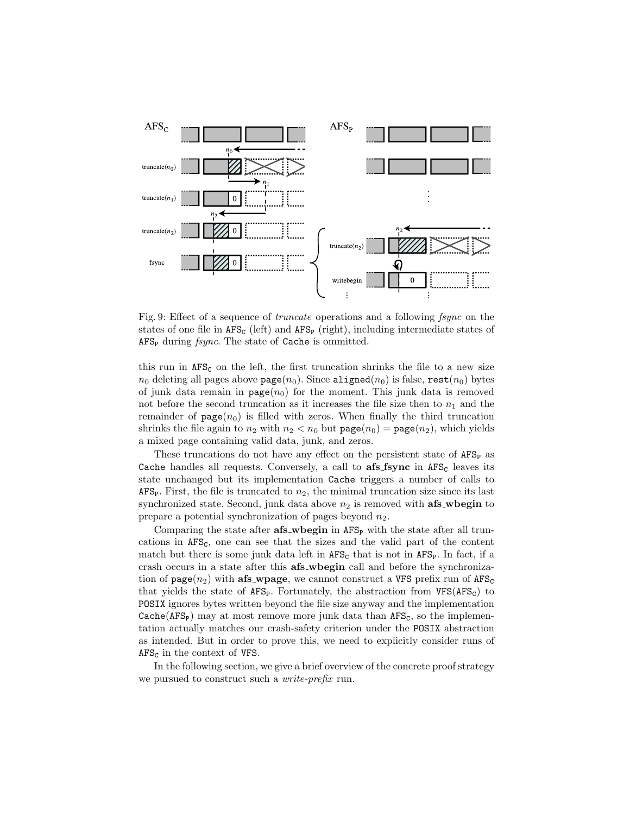<span id="page-12-0"></span>

Fig. 9: Effect of a sequence of *truncate* operations and a following *fsync* on the states of one file in  $\text{AFS}_{\text{C}}$  (left) and  $\text{AFS}_{\text{P}}$  (right), including intermediate states of  $\text{AFS}_P$  during *fsync*. The state of Cache is ommitted.

this run in  $\text{AFS}_{\text{C}}$  on the left, the first truncation shrinks the file to a new size  $n_0$  deleting all pages above page $(n_0)$ . Since aligned $(n_0)$  is false, rest $(n_0)$  bytes of junk data remain in  $page(n_0)$  for the moment. This junk data is removed not before the second truncation as it increases the file size then to  $n_1$  and the remainder of  $page(n_0)$  is filled with zeros. When finally the third truncation shrinks the file again to  $n_2$  with  $n_2 < n_0$  but  $\text{page}(n_0) = \text{page}(n_2)$ , which yields a mixed page containing valid data, junk, and zeros.

These truncations do not have any effect on the persistent state of  $\text{AFS}_P$  as Cache handles all requests. Conversely, a call to  $\textbf{afs}$  fs  $\gamma$  in AFS<sub>C</sub> leaves its state unchanged but its implementation Cache triggers a number of calls to  $\text{AFS}_P$ . First, the file is truncated to  $n_2$ , the minimal truncation size since its last synchronized state. Second, junk data above  $n_2$  is removed with **afs\_wbegin** to prepare a potential synchronization of pages beyond  $n_2$ .

Comparing the state after  $afs$ -wbegin in  $AFS<sub>P</sub>$  with the state after all truncations in  $\text{AFS}_c$ , one can see that the sizes and the valid part of the content match but there is some junk data left in  $\text{AFS}_{\text{C}}$  that is not in  $\text{AFS}_{\text{P}}$ . In fact, if a crash occurs in a state after this afs wbegin call and before the synchronization of page( $n_2$ ) with afs wpage, we cannot construct a VFS prefix run of AFS<sub>C</sub> that yields the state of  $AFS_p$ . Fortunately, the abstraction from  $VFS(AFS_c)$  to POSIX ignores bytes written beyond the file size anyway and the implementation Cache( $\text{AFS}_p$ ) may at most remove more junk data than  $\text{AFS}_c$ , so the implementation actually matches our crash-safety criterion under the POSIX abstraction as intended. But in order to prove this, we need to explicitly consider runs of  $AFS_c$  in the context of VFS.

In the following section, we give a brief overview of the concrete proof strategy we pursued to construct such a write-prefix run.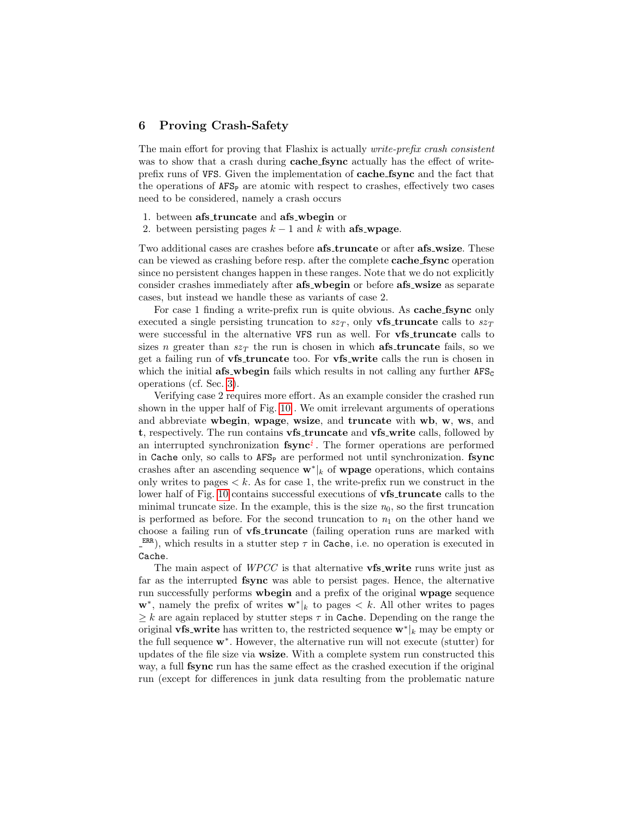#### <span id="page-13-0"></span>6 Proving Crash-Safety

The main effort for proving that Flashix is actually *write-prefix crash consistent* was to show that a crash during **cache fsync** actually has the effect of writeprefix runs of VFS. Given the implementation of cache fsync and the fact that the operations of  $\text{AFS}_P$  are atomic with respect to crashes, effectively two cases need to be considered, namely a crash occurs

- 1. between afs truncate and afs wbegin or
- 2. between persisting pages  $k 1$  and k with **afs\_wpage**.

Two additional cases are crashes before **afs\_truncate** or after **afs\_wsize**. These can be viewed as crashing before resp. after the complete **cache fsync** operation since no persistent changes happen in these ranges. Note that we do not explicitly consider crashes immediately after **afs** wbegin or before **afs** wsize as separate cases, but instead we handle these as variants of case 2.

For case 1 finding a write-prefix run is quite obvious. As **cache fsync** only executed a single persisting truncation to  $sz_T$ , only vfs truncate calls to  $sz_T$ were successful in the alternative VFS run as well. For vfs\_truncate calls to sizes n greater than  $sz_T$  the run is chosen in which **afs\_truncate** fails, so we get a failing run of vfs\_truncate too. For vfs\_write calls the run is chosen in which the initial **afs\_wbegin** fails which results in not calling any further  $AFS<sub>c</sub>$ operations (cf. Sec. [3\)](#page-3-0).

Verifying case 2 requires more effort. As an example consider the crashed run shown in the upper half of Fig. [10](#page-14-0) . We omit irrelevant arguments of operations and abbreviate wbegin, wpage, wsize, and truncate with wb, w, ws, and t, respectively. The run contains vfs\_truncate and vfs\_write calls, followed by an interrupted synchronization  $f<sub>sync</sub> <sup>$\ell$</sup>$ . The former operations are performed in Cache only, so calls to  $AFS<sub>P</sub>$  are performed not until synchronization. **fsync** crashes after an ascending sequence  $\mathbf{w}^*|_k$  of **wpage** operations, which contains only writes to pages  $\lt k$ . As for case 1, the write-prefix run we construct in the lower half of Fig. [10](#page-14-0) contains successful executions of **vfs\_truncate** calls to the minimal truncate size. In the example, this is the size  $n_0$ , so the first truncation is performed as before. For the second truncation to  $n_1$  on the other hand we choose a failing run of **vfs\_truncate** (failing operation runs are marked with  $E^{ER}$ , which results in a stutter step  $\tau$  in Cache, i.e. no operation is executed in Cache.

The main aspect of  $WPCC$  is that alternative **vfs**\_write runs write just as far as the interrupted fsync was able to persist pages. Hence, the alternative run successfully performs wbegin and a prefix of the original wpage sequence  $\mathbf{w}^*$ , namely the prefix of writes  $\mathbf{w}^*|_k$  to pages  $\lt k$ . All other writes to pages  $\geq k$  are again replaced by stutter steps  $\tau$  in Cache. Depending on the range the original **vfs\_write** has written to, the restricted sequence  $\mathbf{w}^*|_k$  may be empty or the full sequence w<sup>∗</sup> . However, the alternative run will not execute (stutter) for updates of the file size via wsize. With a complete system run constructed this way, a full **fsync** run has the same effect as the crashed execution if the original run (except for differences in junk data resulting from the problematic nature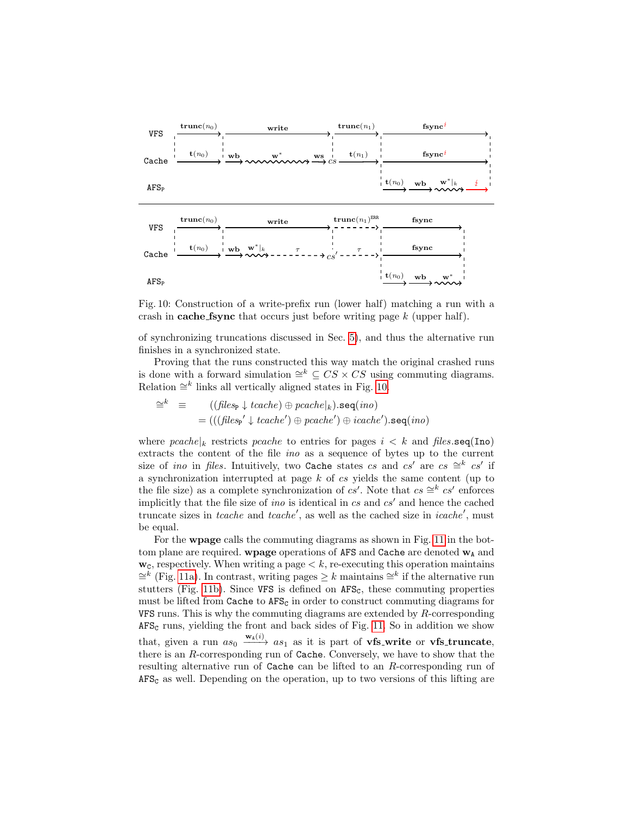<span id="page-14-0"></span>

Fig. 10: Construction of a write-prefix run (lower half) matching a run with a crash in cache fsync that occurs just before writing page  $k$  (upper half).

of synchronizing truncations discussed in Sec. [5\)](#page-10-0), and thus the alternative run finishes in a synchronized state.

Proving that the runs constructed this way match the original crashed runs is done with a forward simulation  $\cong^k \subseteq CS \times CS$  using commuting diagrams. Relation  $\cong^k$  links all vertically aligned states in Fig. [10.](#page-14-0)

$$
\begin{array}{rcl}\n\cong^k & \equiv & \big((\mathit{files}_{\mathsf{P}} \downarrow \mathit{tcache}) \oplus \mathit{pcache}|_k\big) . \mathsf{seq}(\mathit{ino}) \\
& = \big(((\mathit{files}_{\mathsf{P}}' \downarrow \mathit{tcache}') \oplus \mathit{pcache}') \oplus \mathit{icache}'\big) . \mathsf{seq}(\mathit{ino})\n\end{array}
$$

where  $\mathit{pcache}|_k$  restricts  $\mathit{pcache}$  to entries for pages  $i < k$  and  $\mathit{files}.\texttt{seq}(\texttt{Ino})$ extracts the content of the file ino as a sequence of bytes up to the current size of *ino* in files. Intuitively, two **Cache** states cs and cs' are cs  $\cong^k$  cs' if a synchronization interrupted at page  $k$  of  $cs$  yields the same content (up to the file size) as a complete synchronization of cs'. Note that  $cs \cong^k cs'$  enforces implicitly that the file size of *ino* is identical in  $cs$  and  $cs'$  and hence the cached truncate sizes in *teache* and *teache'*, as well as the cached size in *icache'*, must be equal.

For the wpage calls the commuting diagrams as shown in Fig. [11](#page-15-1) in the bottom plane are required. wpage operations of AFS and Cache are denoted  $w<sub>A</sub>$  and  $\mathbf{w}_c$ , respectively. When writing a page  $\lt k$ , re-executing this operation maintains  $\cong^{k}$  (Fig. [11a\)](#page-15-1). In contrast, writing pages  $\geq k$  maintains  $\cong^{k}$  if the alternative run stutters (Fig. [11b\)](#page-15-1). Since VFS is defined on  $\text{AFS}_c$ , these commuting properties must be lifted from Cache to  $\text{AFS}_{\text{C}}$  in order to construct commuting diagrams for VFS runs. This is why the commuting diagrams are extended by R-corresponding  $\text{AFS}_{\text{C}}$  runs, yielding the front and back sides of Fig. [11.](#page-15-1) So in addition we show that, given a run  $as_0 \xrightarrow{\mathbf{w}_\mathtt{A}(i)} as_1$  as it is part of **vfs\_write** or **vfs\_truncate**, there is an R-corresponding run of Cache. Conversely, we have to show that the resulting alternative run of Cache can be lifted to an R-corresponding run of  $\text{AFS}_{\text{C}}$  as well. Depending on the operation, up to two versions of this lifting are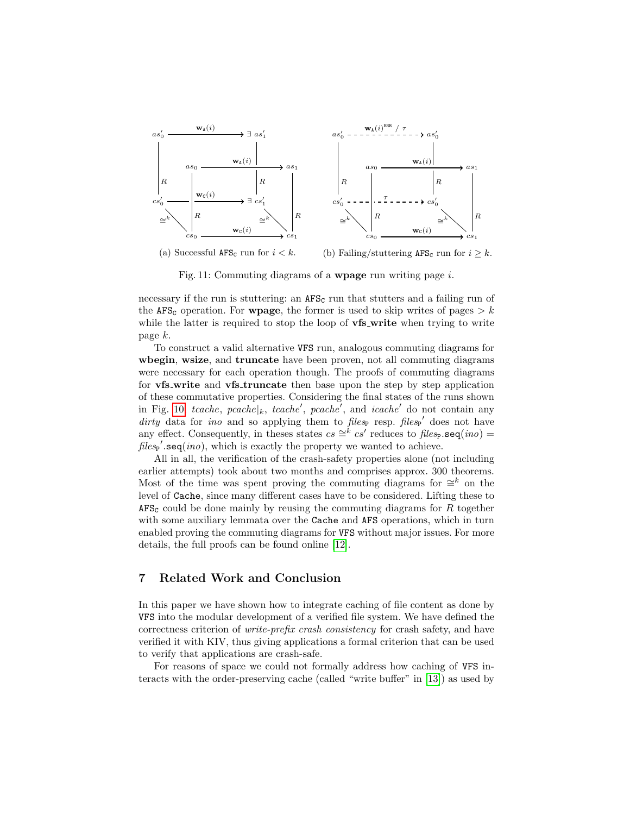<span id="page-15-1"></span>

(a) Successful AFS<sub>c</sub> run for  $i < k$ . (b) Failing/stuttering  $\text{AFS}_c$  run for  $i \geq k$ .

Fig. 11: Commuting diagrams of a wpage run writing page i.

necessary if the run is stuttering: an  $\text{AFS}_{\text{C}}$  run that stutters and a failing run of the AFS<sub>C</sub> operation. For **wpage**, the former is used to skip writes of pages  $> k$ while the latter is required to stop the loop of **vfs\_write** when trying to write page k.

To construct a valid alternative VFS run, analogous commuting diagrams for wbegin, wsize, and truncate have been proven, not all commuting diagrams were necessary for each operation though. The proofs of commuting diagrams for **vfs\_write** and **vfs\_truncate** then base upon the step by step application of these commutative properties. Considering the final states of the runs shown in Fig. [10,](#page-14-0) tcache, pcache|k, tcache', pcache', and icache' do not contain any  $dirty$  data for *ino* and so applying them to files<sub>p</sub> resp. files<sub>p</sub>' does not have any effect. Consequently, in theses states  $cs \cong^k cs'$  reduces to filesp.seq(ino) =  $\text{filesp}'.\texttt{seq}(ino)$ , which is exactly the property we wanted to achieve.

All in all, the verification of the crash-safety properties alone (not including earlier attempts) took about two months and comprises approx. 300 theorems. Most of the time was spent proving the commuting diagrams for  $\cong^k$  on the level of Cache, since many different cases have to be considered. Lifting these to  $\text{AFS}_{\text{C}}$  could be done mainly by reusing the commuting diagrams for R together with some auxiliary lemmata over the Cache and AFS operations, which in turn enabled proving the commuting diagrams for VFS without major issues. For more details, the full proofs can be found online [\[12\]](#page-17-8).

#### <span id="page-15-0"></span>7 Related Work and Conclusion

In this paper we have shown how to integrate caching of file content as done by VFS into the modular development of a verified file system. We have defined the correctness criterion of write-prefix crash consistency for crash safety, and have verified it with KIV, thus giving applications a formal criterion that can be used to verify that applications are crash-safe.

For reasons of space we could not formally address how caching of VFS interacts with the order-preserving cache (called "write buffer" in [\[13\]](#page-17-4)) as used by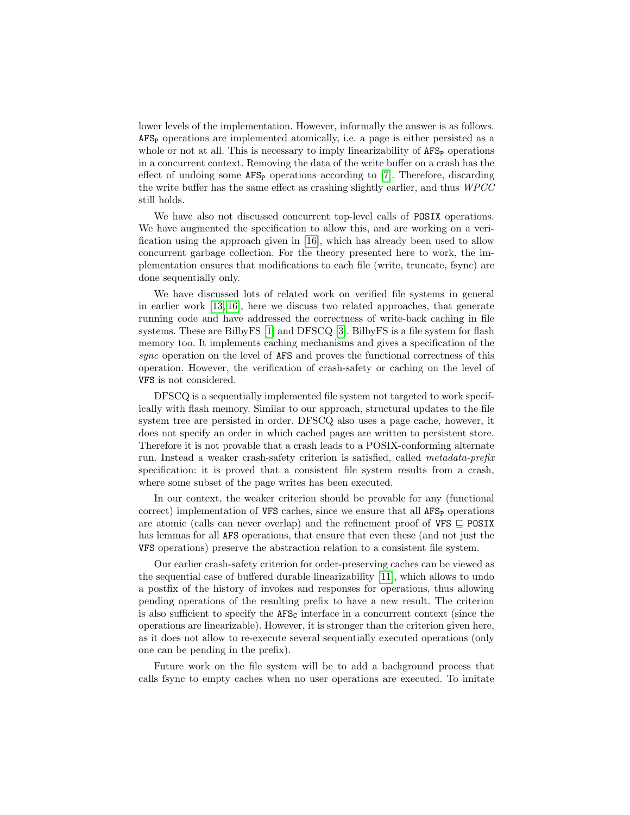lower levels of the implementation. However, informally the answer is as follows. AFS<sup>P</sup> operations are implemented atomically, i.e. a page is either persisted as a whole or not at all. This is necessary to imply linearizability of  $\text{AFS}_P$  operations in a concurrent context. Removing the data of the write buffer on a crash has the effect of undoing some  $AFS<sub>P</sub>$  operations according to [\[7\]](#page-17-9). Therefore, discarding the write buffer has the same effect as crashing slightly earlier, and thus WPCC still holds.

We have also not discussed concurrent top-level calls of POSIX operations. We have augmented the specification to allow this, and are working on a verification using the approach given in [\[16\]](#page-17-3), which has already been used to allow concurrent garbage collection. For the theory presented here to work, the implementation ensures that modifications to each file (write, truncate, fsync) are done sequentially only.

We have discussed lots of related work on verified file systems in general in earlier work [\[13,](#page-17-4) [16\]](#page-17-3), here we discuss two related approaches, that generate running code and have addressed the correctness of write-back caching in file systems. These are BilbyFS [\[1\]](#page-17-13) and DFSCQ [\[3\]](#page-17-14). BilbyFS is a file system for flash memory too. It implements caching mechanisms and gives a specification of the sync operation on the level of AFS and proves the functional correctness of this operation. However, the verification of crash-safety or caching on the level of VFS is not considered.

DFSCQ is a sequentially implemented file system not targeted to work specifically with flash memory. Similar to our approach, structural updates to the file system tree are persisted in order. DFSCQ also uses a page cache, however, it does not specify an order in which cached pages are written to persistent store. Therefore it is not provable that a crash leads to a POSIX-conforming alternate run. Instead a weaker crash-safety criterion is satisfied, called metadata-prefix specification: it is proved that a consistent file system results from a crash, where some subset of the page writes has been executed.

In our context, the weaker criterion should be provable for any (functional correct) implementation of VFS caches, since we ensure that all  $\text{AFS}_{\text{P}}$  operations are atomic (calls can never overlap) and the refinement proof of VFS  $\Box$  POSIX has lemmas for all AFS operations, that ensure that even these (and not just the VFS operations) preserve the abstraction relation to a consistent file system.

Our earlier crash-safety criterion for order-preserving caches can be viewed as the sequential case of buffered durable linearizability [\[11\]](#page-17-15), which allows to undo a postfix of the history of invokes and responses for operations, thus allowing pending operations of the resulting prefix to have a new result. The criterion is also sufficient to specify the  $\text{AFS}_{\text{C}}$  interface in a concurrent context (since the operations are linearizable). However, it is stronger than the criterion given here, as it does not allow to re-execute several sequentially executed operations (only one can be pending in the prefix).

Future work on the file system will be to add a background process that calls fsync to empty caches when no user operations are executed. To imitate